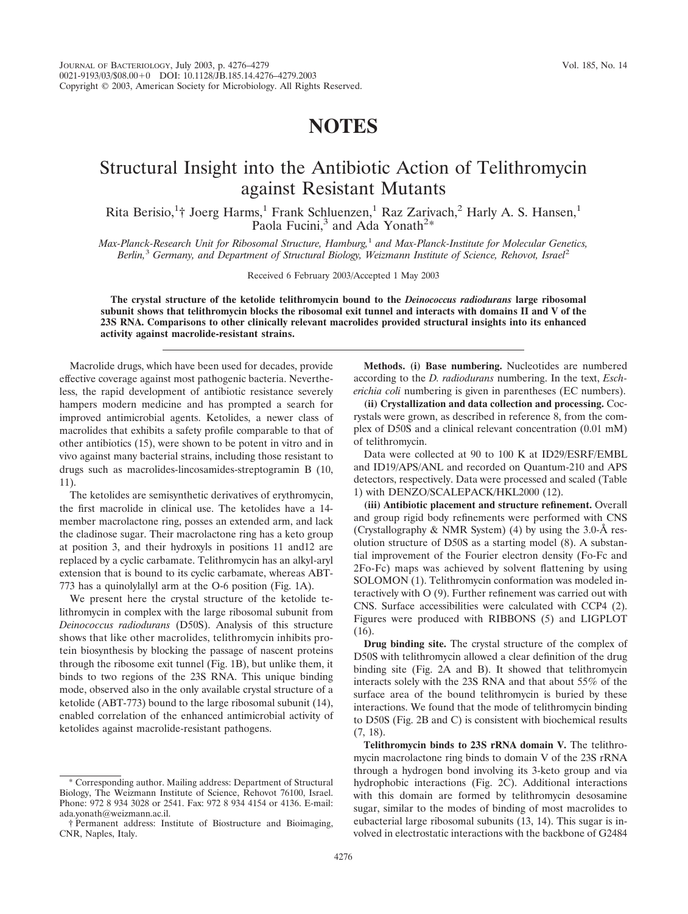## **NOTES**

## Structural Insight into the Antibiotic Action of Telithromycin against Resistant Mutants

Rita Berisio,<sup>1</sup>† Joerg Harms,<sup>1</sup> Frank Schluenzen,<sup>1</sup> Raz Zarivach,<sup>2</sup> Harly A. S. Hansen,<sup>1</sup> Paola Fucini,<sup>3</sup> and Ada Yonath<sup>2\*</sup>

*Max-Planck-Research Unit for Ribosomal Structure, Hamburg,*<sup>1</sup> *and Max-Planck-Institute for Molecular Genetics, Berlin,*<sup>3</sup> *Germany, and Department of Structural Biology, Weizmann Institute of Science, Rehovot, Israel*<sup>2</sup>

Received 6 February 2003/Accepted 1 May 2003

**The crystal structure of the ketolide telithromycin bound to the** *Deinococcus radiodurans* **large ribosomal subunit shows that telithromycin blocks the ribosomal exit tunnel and interacts with domains II and V of the 23S RNA. Comparisons to other clinically relevant macrolides provided structural insights into its enhanced activity against macrolide-resistant strains.**

Macrolide drugs, which have been used for decades, provide effective coverage against most pathogenic bacteria. Nevertheless, the rapid development of antibiotic resistance severely hampers modern medicine and has prompted a search for improved antimicrobial agents. Ketolides, a newer class of macrolides that exhibits a safety profile comparable to that of other antibiotics (15), were shown to be potent in vitro and in vivo against many bacterial strains, including those resistant to drugs such as macrolides-lincosamides-streptogramin B (10, 11).

The ketolides are semisynthetic derivatives of erythromycin, the first macrolide in clinical use. The ketolides have a 14 member macrolactone ring, posses an extended arm, and lack the cladinose sugar. Their macrolactone ring has a keto group at position 3, and their hydroxyls in positions 11 and12 are replaced by a cyclic carbamate. Telithromycin has an alkyl-aryl extension that is bound to its cyclic carbamate, whereas ABT-773 has a quinolylallyl arm at the O-6 position (Fig. 1A).

We present here the crystal structure of the ketolide telithromycin in complex with the large ribosomal subunit from *Deinococcus radiodurans* (D50S). Analysis of this structure shows that like other macrolides, telithromycin inhibits protein biosynthesis by blocking the passage of nascent proteins through the ribosome exit tunnel (Fig. 1B), but unlike them, it binds to two regions of the 23S RNA. This unique binding mode, observed also in the only available crystal structure of a ketolide (ABT-773) bound to the large ribosomal subunit (14), enabled correlation of the enhanced antimicrobial activity of ketolides against macrolide-resistant pathogens.

**Methods. (i) Base numbering.** Nucleotides are numbered according to the *D. radiodurans* numbering. In the text, *Escherichia coli* numbering is given in parentheses (EC numbers).

**(ii) Crystallization and data collection and processing.** Cocrystals were grown, as described in reference 8, from the complex of D50S and a clinical relevant concentration (0.01 mM) of telithromycin.

Data were collected at 90 to 100 K at ID29/ESRF/EMBL and ID19/APS/ANL and recorded on Quantum-210 and APS detectors, respectively. Data were processed and scaled (Table 1) with DENZO/SCALEPACK/HKL2000 (12).

**(iii) Antibiotic placement and structure refinement.** Overall and group rigid body refinements were performed with CNS (Crystallography & NMR System) (4) by using the 3.0- $\AA$  resolution structure of D50S as a starting model (8). A substantial improvement of the Fourier electron density (Fo-Fc and 2Fo-Fc) maps was achieved by solvent flattening by using SOLOMON (1). Telithromycin conformation was modeled interactively with O (9). Further refinement was carried out with CNS. Surface accessibilities were calculated with CCP4 (2). Figures were produced with RIBBONS (5) and LIGPLOT (16).

**Drug binding site.** The crystal structure of the complex of D50S with telithromycin allowed a clear definition of the drug binding site (Fig. 2A and B). It showed that telithromycin interacts solely with the 23S RNA and that about 55% of the surface area of the bound telithromycin is buried by these interactions. We found that the mode of telithromycin binding to D50S (Fig. 2B and C) is consistent with biochemical results (7, 18).

**Telithromycin binds to 23S rRNA domain V.** The telithromycin macrolactone ring binds to domain V of the 23S rRNA through a hydrogen bond involving its 3-keto group and via hydrophobic interactions (Fig. 2C). Additional interactions with this domain are formed by telithromycin desosamine sugar, similar to the modes of binding of most macrolides to eubacterial large ribosomal subunits (13, 14). This sugar is involved in electrostatic interactions with the backbone of G2484

Corresponding author. Mailing address: Department of Structural Biology, The Weizmann Institute of Science, Rehovot 76100, Israel. Phone: 972 8 934 3028 or 2541. Fax: 972 8 934 4154 or 4136. E-mail: ada.yonath@weizmann.ac.il.

<sup>†</sup> Permanent address: Institute of Biostructure and Bioimaging, CNR, Naples, Italy.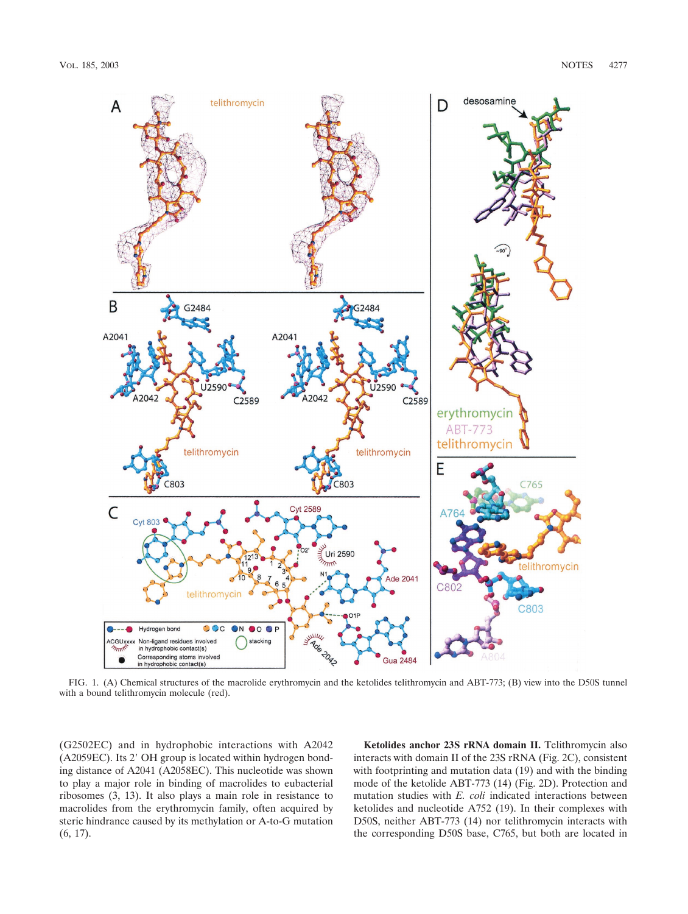

FIG. 1. (A) Chemical structures of the macrolide erythromycin and the ketolides telithromycin and ABT-773; (B) view into the D50S tunnel with a bound telithromycin molecule (red).

(G2502EC) and in hydrophobic interactions with A2042 (A2059EC). Its 2' OH group is located within hydrogen bonding distance of A2041 (A2058EC). This nucleotide was shown to play a major role in binding of macrolides to eubacterial ribosomes (3, 13). It also plays a main role in resistance to macrolides from the erythromycin family, often acquired by steric hindrance caused by its methylation or A-to-G mutation (6, 17).

**Ketolides anchor 23S rRNA domain II.** Telithromycin also interacts with domain II of the 23S rRNA (Fig. 2C), consistent with footprinting and mutation data (19) and with the binding mode of the ketolide ABT-773 (14) (Fig. 2D). Protection and mutation studies with *E. coli* indicated interactions between ketolides and nucleotide A752 (19). In their complexes with D50S, neither ABT-773 (14) nor telithromycin interacts with the corresponding D50S base, C765, but both are located in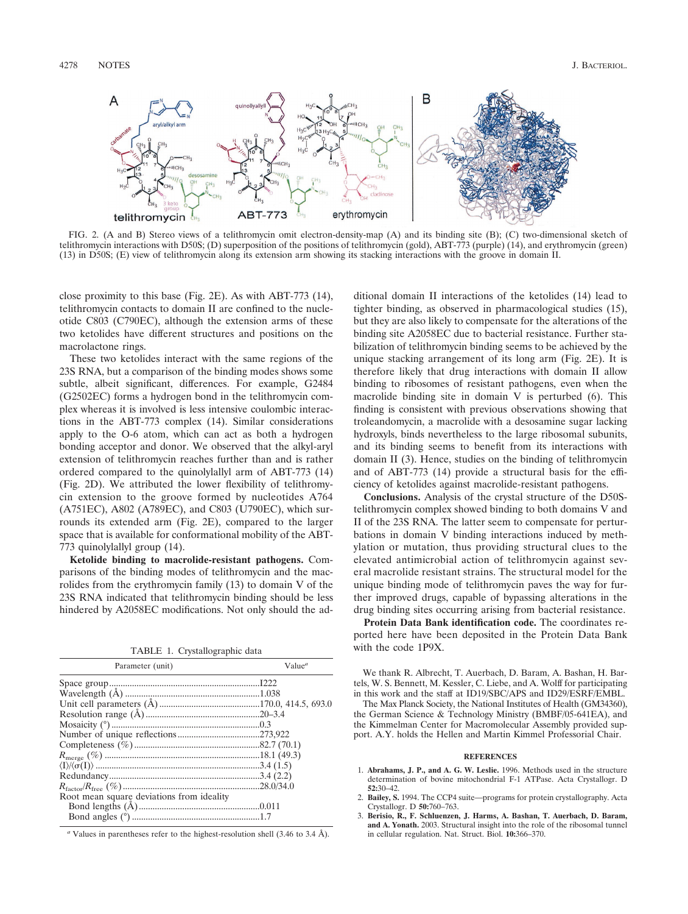

FIG. 2. (A and B) Stereo views of a telithromycin omit electron-density-map (A) and its binding site (B); (C) two-dimensional sketch of telithromycin interactions with D50S; (D) superposition of the positions of telithromycin (gold), ABT-773 (purple) (14), and erythromycin (green) (13) in D50S; (E) view of telithromycin along its extension arm showing its stacking interactions with the groove in domain II.

close proximity to this base (Fig. 2E). As with ABT-773 (14), telithromycin contacts to domain II are confined to the nucleotide C803 (C790EC), although the extension arms of these two ketolides have different structures and positions on the macrolactone rings.

These two ketolides interact with the same regions of the 23S RNA, but a comparison of the binding modes shows some subtle, albeit significant, differences. For example, G2484 (G2502EC) forms a hydrogen bond in the telithromycin complex whereas it is involved is less intensive coulombic interactions in the ABT-773 complex (14). Similar considerations apply to the O-6 atom, which can act as both a hydrogen bonding acceptor and donor. We observed that the alkyl-aryl extension of telithromycin reaches further than and is rather ordered compared to the quinolylallyl arm of ABT-773 (14) (Fig. 2D). We attributed the lower flexibility of telithromycin extension to the groove formed by nucleotides A764 (A751EC), A802 (A789EC), and C803 (U790EC), which surrounds its extended arm (Fig. 2E), compared to the larger space that is available for conformational mobility of the ABT-773 quinolylallyl group (14).

**Ketolide binding to macrolide-resistant pathogens.** Comparisons of the binding modes of telithromycin and the macrolides from the erythromycin family (13) to domain V of the 23S RNA indicated that telithromycin binding should be less hindered by A2058EC modifications. Not only should the ad-

TABLE 1. Crystallographic data

| Parameter (unit)                          | Value <sup>a</sup> |
|-------------------------------------------|--------------------|
|                                           |                    |
|                                           |                    |
|                                           |                    |
|                                           |                    |
|                                           |                    |
|                                           |                    |
|                                           |                    |
|                                           |                    |
|                                           |                    |
|                                           |                    |
|                                           |                    |
| Root mean square deviations from ideality |                    |
|                                           |                    |
|                                           |                    |

*<sup>a</sup>* Values in parentheses refer to the highest-resolution shell (3.46 to 3.4 A˚ ).

ditional domain II interactions of the ketolides (14) lead to tighter binding, as observed in pharmacological studies (15), but they are also likely to compensate for the alterations of the binding site A2058EC due to bacterial resistance. Further stabilization of telithromycin binding seems to be achieved by the unique stacking arrangement of its long arm (Fig. 2E). It is therefore likely that drug interactions with domain II allow binding to ribosomes of resistant pathogens, even when the macrolide binding site in domain V is perturbed (6). This finding is consistent with previous observations showing that troleandomycin, a macrolide with a desosamine sugar lacking hydroxyls, binds nevertheless to the large ribosomal subunits, and its binding seems to benefit from its interactions with domain II (3). Hence, studies on the binding of telithromycin and of ABT-773 (14) provide a structural basis for the efficiency of ketolides against macrolide-resistant pathogens.

**Conclusions.** Analysis of the crystal structure of the D50Stelithromycin complex showed binding to both domains V and II of the 23S RNA. The latter seem to compensate for perturbations in domain V binding interactions induced by methylation or mutation, thus providing structural clues to the elevated antimicrobial action of telithromycin against several macrolide resistant strains. The structural model for the unique binding mode of telithromycin paves the way for further improved drugs, capable of bypassing alterations in the drug binding sites occurring arising from bacterial resistance.

**Protein Data Bank identification code.** The coordinates reported here have been deposited in the Protein Data Bank with the code 1P9X.

We thank R. Albrecht, T. Auerbach, D. Baram, A. Bashan, H. Bartels, W. S. Bennett, M. Kessler, C. Liebe, and A. Wolff for participating in this work and the staff at ID19/SBC/APS and ID29/ESRF/EMBL.

The Max Planck Society, the National Institutes of Health (GM34360), the German Science & Technology Ministry (BMBF/05-641EA), and the Kimmelman Center for Macromolecular Assembly provided support. A.Y. holds the Hellen and Martin Kimmel Professorial Chair.

## **REFERENCES**

- 1. **Abrahams, J. P., and A. G. W. Leslie.** 1996. Methods used in the structure determination of bovine mitochondrial F-1 ATPase. Acta Crystallogr. D **52:**30–42.
- 2. **Bailey, S.** 1994. The CCP4 suite—programs for protein crystallography. Acta Crystallogr. D **50:**760–763.
- 3. **Berisio, R., F. Schluenzen, J. Harms, A. Bashan, T. Auerbach, D. Baram, and A. Yonath.** 2003. Structural insight into the role of the ribosomal tunnel in cellular regulation. Nat. Struct. Biol. **10:**366–370.